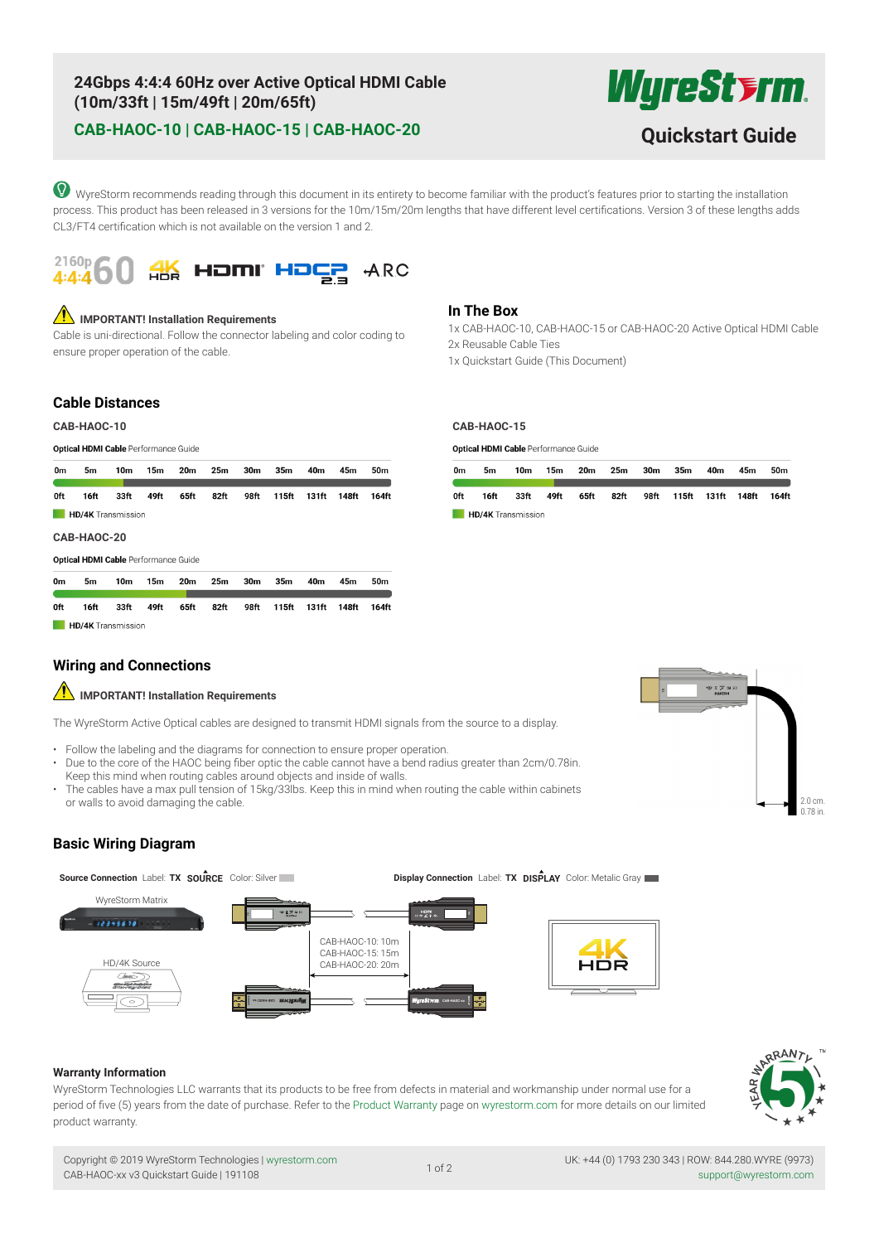# **24Gbps 4:4:4 60Hz over Active Optical HDMI Cable (10m/33ft | 15m/49ft | 20m/65ft)**

# **CAB-HAOC-10 | CAB-HAOC-15 | CAB-HAOC-20 Quickstart Guide**

WyreSt**srm** 

WyreStorm recommends reading through this document in its entirety to become familiar with the product's features prior to starting the installation process. This product has been released in 3 versions for the 10m/15m/20m lengths that have different level certifications. Version 3 of these lengths adds CL3/FT4 certification which is not available on the version 1 and 2.



### **1.** IMPORTANT! Installation Requirements

Cable is uni-directional. Follow the connector labeling and color coding to ensure proper operation of the cable.

### **In The Box**

1x CAB-HAOC-10, CAB-HAOC-15 or CAB-HAOC-20 Active Optical HDMI Cable 2x Reusable Cable Ties 1x Quickstart Guide (This Document)

### **Cable Distances**

### **CAB-HAOC-10 CAB-HAOC-15**

0ft

16ft

**HD/4K** Transmission

**Optical HDMI Cable Performance Guide** 

| 0m                        | 5m   | 10m                                  | 15 <sub>m</sub> | 20m  | 25 <sub>m</sub> | 30 <sub>m</sub> | 35 <sub>m</sub> | 40m   | 45m   | 50 <sub>m</sub> |
|---------------------------|------|--------------------------------------|-----------------|------|-----------------|-----------------|-----------------|-------|-------|-----------------|
| 0ft                       | 16ft | 33ft                                 | 49ft            | 65ft | 82ft            | 98ft            | 115ft           | 131ft | 148ft | 164ft           |
| <b>HD/4K</b> Transmission |      |                                      |                 |      |                 |                 |                 |       |       |                 |
| CAB-HAOC-20               |      |                                      |                 |      |                 |                 |                 |       |       |                 |
|                           |      | Optical HDMI Cable Performance Guide |                 |      |                 |                 |                 |       |       |                 |
|                           |      |                                      |                 |      |                 |                 |                 |       |       |                 |

 $82<sub>ft</sub>$ 

Optical HDMI Cable Performance Guide

| 0 <sub>m</sub> | 5m                        | 10m  | 15m  | 20m  | 25m  | 30m | 35m                          | 40m | 45m | 50m |
|----------------|---------------------------|------|------|------|------|-----|------------------------------|-----|-----|-----|
| 0ft            | 16ft                      | 33ft | 49ft | 65ft | 82ft |     | 98ft 115ft 131ft 148ft 164ft |     |     |     |
|                | <b>HD/4K</b> Transmission |      |      |      |      |     |                              |     |     |     |

### **Wiring and Connections**

33ft

# **IMPORTANT! Installation Requirements**

49ft

65ft

The WyreStorm Active Optical cables are designed to transmit HDMI signals from the source to a display.

• Follow the labeling and the diagrams for connection to ensure proper operation.

98ft

115ft

• Due to the core of the HAOC being fiber optic the cable cannot have a bend radius greater than 2cm/0.78in. Keep this mind when routing cables around objects and inside of walls.

131ft 148ft

164ft

• The cables have a max pull tension of 15kg/33lbs. Keep this in mind when routing the cable within cabinets or walls to avoid damaging the cable.



### **Basic Wiring Diagram**

**Source Connection** Label: **TX SOURCE** Color: Silver **Display Connection** Label: **TX DISPLAY** Color: Metalic Gray WyreStorm Matrix  $224557$ CAB-HAOC-10: 10m CAB-HAOC-15: 15m HD/4K Source CAB-HAOC-20: 20m 90R **CAB-HAOC-xx CAB-HAOC-xx**

### **Warranty Information**

WyreStorm Technologies LLC warrants that its products to be free from defects in material and workmanship under normal use for a period of five (5) years from the date of purchase. Refer to the Product Warranty page on wyrestorm.com for more details on our limited product warranty.



Copyright © 2019 WyreStorm Technologies | wyrestorm.com CAB-HAOC-xx v3 Quickstart Guide | 191108

UK: +44 (0) 1793 230 343 | ROW: 844.280.WYRE (9973) اد / 97 of 2<br>Support@wyrestorm.com د 44 of 2<br>Support@wyrestorm.com